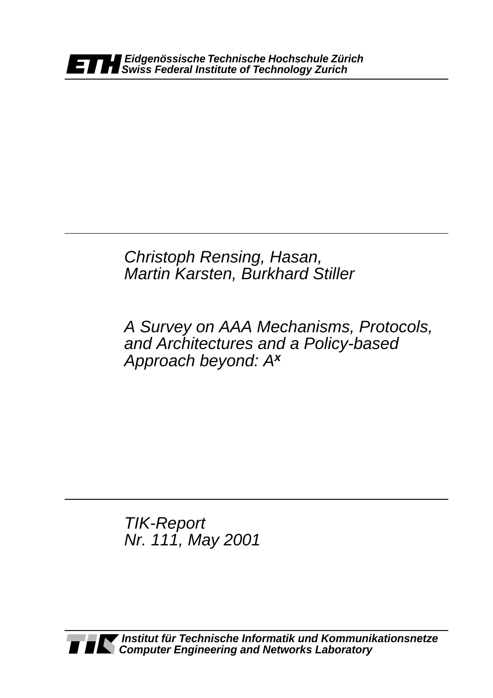*Christoph Rensing, Hasan, Martin Karsten, Burkhard Stiller*

*A Survey on AAA Mechanisms, Protocols, and Architectures and a Policy-based Approach beyond: Ax*

*TIK-Report Nr. 111, May 2001*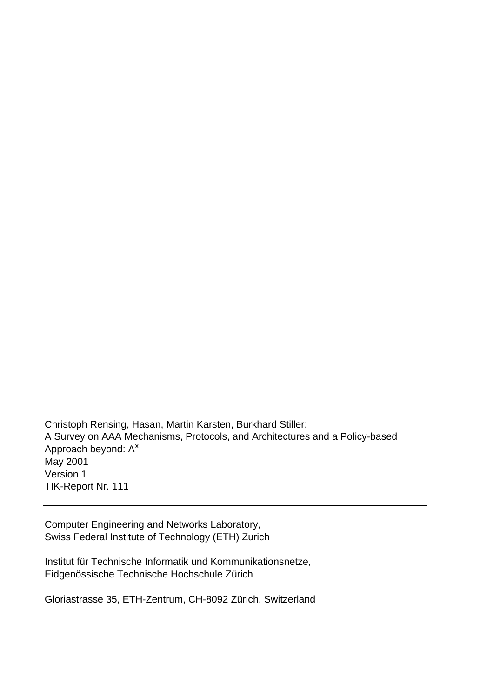Christoph Rensing, Hasan, Martin Karsten, Burkhard Stiller: A Survey on AAA Mechanisms, Protocols, and Architectures and a Policy-based Approach beyond: A<sup>x</sup> May 2001 Version 1 TIK-Report Nr. 111

Computer Engineering and Networks Laboratory, Swiss Federal Institute of Technology (ETH) Zurich

Institut für Technische Informatik und Kommunikationsnetze, Eidgenössische Technische Hochschule Zürich

Gloriastrasse 35, ETH-Zentrum, CH-8092 Zürich, Switzerland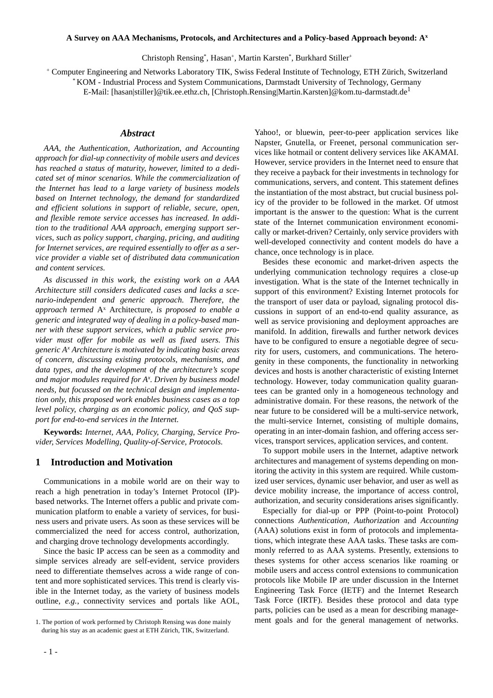#### **A Survey on AAA Mechanisms, Protocols, and Architectures and a Policy-based Approach beyond: Ax**

Christoph Rensing\*, Hasan+, Martin Karsten\*, Burkhard Stiller+

+ Computer Engineering and Networks Laboratory TIK, Swiss Federal Institute of Technology, ETH Zürich, Switzerland

\* KOM - Industrial Process and System Communications, Darmstadt University of Technology, Germany

E-Mail: [hasan|stiller]@tik.ee.ethz.ch, [Christoph.Rensing|Martin.Karsten]@kom.tu-darmstadt.de<sup>1</sup>

## *Abstract*

*AAA, the Authentication, Authorization, and Accounting approach for dial-up connectivity of mobile users and devices has reached a status of maturity, however, limited to a dedicated set of minor scenarios. While the commercialization of the Internet has lead to a large variety of business models based on Internet technology, the demand for standardized and efficient solutions in support of reliable, secure, open, and flexible remote service accesses has increased. In addition to the traditional AAA approach, emerging support services, such as policy support, charging, pricing, and auditing for Internet services, are required essentially to offer as a service provider a viable set of distributed data communication and content services.* 

*As discussed in this work, the existing work on a AAA Architecture still considers dedicated cases and lacks a scenario-independent and generic approach. Therefore, the approach termed* Ax Architecture*, is proposed to enable a generic and integrated way of dealing in a policy-based manner with these support services, which a public service provider must offer for mobile as well as fixed users. This generic Ax Architecture is motivated by indicating basic areas of concern, discussing existing protocols, mechanisms, and data types, and the development of the architecture's scope and major modules required for Ax . Driven by business model needs, but focussed on the technical design and implementation only, this proposed work enables business cases as a top level policy, charging as an economic policy, and QoS support for end-to-end services in the Internet.*

**Keywords:** *Internet, AAA, Policy, Charging, Service Provider, Services Modelling, Quality-of-Service, Protocols.*

### **1 Introduction and Motivation**

Communications in a mobile world are on their way to reach a high penetration in today's Internet Protocol (IP) based networks. The Internet offers a public and private communication platform to enable a variety of services, for business users and private users. As soon as these services will be commercialized the need for access control, authorization, and charging drove technology developments accordingly.

Since the basic IP access can be seen as a commodity and simple services already are self-evident, service providers need to differentiate themselves across a wide range of content and more sophisticated services. This trend is clearly visible in the Internet today, as the variety of business models outline, *e.g.*, connectivity services and portals like AOL,

Yahoo!, or bluewin, peer-to-peer application services like Napster, Gnutella, or Freenet, personal communication services like hotmail or content delivery services like AKAMAI. However, service providers in the Internet need to ensure that they receive a payback for their investments in technology for communications, servers, and content. This statement defines the instantiation of the most abstract, but crucial business policy of the provider to be followed in the market. Of utmost important is the answer to the question: What is the current state of the Internet communication environment economically or market-driven? Certainly, only service providers with well-developed connectivity and content models do have a chance, once technology is in place.

Besides these economic and market-driven aspects the underlying communication technology requires a close-up investigation. What is the state of the Internet technically in support of this environment? Existing Internet protocols for the transport of user data or payload, signaling protocol discussions in support of an end-to-end quality assurance, as well as service provisioning and deployment approaches are manifold. In addition, firewalls and further network devices have to be configured to ensure a negotiable degree of security for users, customers, and communications. The heterogenity in these components, the functionality in networking devices and hosts is another characteristic of existing Internet technology. However, today communication quality guarantees can be granted only in a homogeneous technology and administrative domain. For these reasons, the network of the near future to be considered will be a multi-service network, the multi-service Internet, consisting of multiple domains, operating in an inter-domain fashion, and offering access services, transport services, application services, and content.

To support mobile users in the Internet, adaptive network architectures and management of systems depending on monitoring the activity in this system are required. While customized user services, dynamic user behavior, and user as well as device mobility increase, the importance of access control, authorization, and security considerations arises significantly.

Especially for dial-up or PPP (Point-to-point Protocol) connections *Authentication*, *Authorization* and *Accounting* (AAA) solutions exist in form of protocols and implementations, which integrate these AAA tasks. These tasks are commonly referred to as AAA systems. Presently, extensions to theses systems for other access scenarios like roaming or mobile users and access control extensions to communication protocols like Mobile IP are under discussion in the Internet Engineering Task Force (IETF) and the Internet Research Task Force (IRTF). Besides these protocol and data type parts, policies can be used as a mean for describing manage-1. The portion of work performed by Christoph Rensing was done mainly ment goals and for the general management of networks.

during his stay as an academic guest at ETH Zürich, TIK, Switzerland.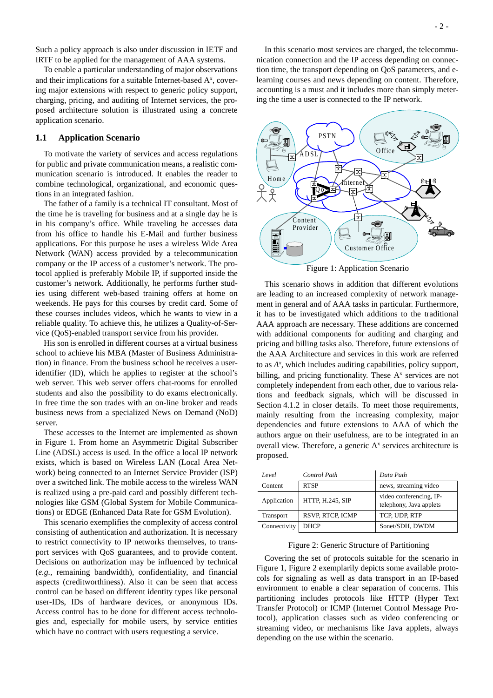Such a policy approach is also under discussion in IETF and IRTF to be applied for the management of AAA systems.

To enable a particular understanding of major observations and their implications for a suitable Internet-based  $A<sup>x</sup>$ , covering major extensions with respect to generic policy support, charging, pricing, and auditing of Internet services, the proposed architecture solution is illustrated using a concrete application scenario.

### **1.1 Application Scenario**

To motivate the variety of services and access regulations for public and private communication means, a realistic communication scenario is introduced. It enables the reader to combine technological, organizational, and economic questions in an integrated fashion.

The father of a family is a technical IT consultant. Most of the time he is traveling for business and at a single day he is in his company's office. While traveling he accesses data from his office to handle his E-Mail and further business applications. For this purpose he uses a wireless Wide Area Network (WAN) access provided by a telecommunication company or the IP access of a customer's network. The protocol applied is preferably Mobile IP, if supported inside the customer's network. Additionally, he performs further studies using different web-based training offers at home on weekends. He pays for this courses by credit card. Some of these courses includes videos, which he wants to view in a reliable quality. To achieve this, he utilizes a Quality-of-Service (QoS)-enabled transport service from his provider.

His son is enrolled in different courses at a virtual business school to achieve his MBA (Master of Business Administration) in finance. From the business school he receives a useridentifier (ID), which he applies to register at the school's web server. This web server offers chat-rooms for enrolled students and also the possibility to do exams electronically. In free time the son trades with an on-line broker and reads business news from a specialized News on Demand (NoD) server.

These accesses to the Internet are implemented as shown in Figure 1. From home an Asymmetric Digital Subscriber Line (ADSL) access is used. In the office a local IP network exists, which is based on Wireless LAN (Local Area Network) being connected to an Internet Service Provider (ISP) over a switched link. The mobile access to the wireless WAN is realized using a pre-paid card and possibly different technologies like GSM (Global System for Mobile Communications) or EDGE (Enhanced Data Rate for GSM Evolution).

This scenario exemplifies the complexity of access control consisting of authentication and authorization. It is necessary to restrict connectivity to IP networks themselves, to transport services with QoS guarantees, and to provide content. Decisions on authorization may be influenced by technical (*e.g.*, remaining bandwidth), confidentiality, and financial aspects (creditworthiness). Also it can be seen that access control can be based on different identity types like personal user-IDs, IDs of hardware devices, or anonymous IDs. Access control has to be done for different access technologies and, especially for mobile users, by service entities which have no contract with users requesting a service.

In this scenario most services are charged, the telecommunication connection and the IP access depending on connection time, the transport depending on QoS parameters, and elearning courses and news depending on content. Therefore, accounting is a must and it includes more than simply metering the time a user is connected to the IP network.



Figure 1: Application Scenario

This scenario shows in addition that different evolutions are leading to an increased complexity of network management in general and of AAA tasks in particular. Furthermore, it has to be investigated which additions to the traditional AAA approach are necessary. These additions are concerned with additional components for auditing and charging and pricing and billing tasks also. Therefore, future extensions of the AAA Architecture and services in this work are referred to as *Ax* , which includes auditing capabilities, policy support, billing, and pricing functionality. These  $A<sup>x</sup>$  services are not completely independent from each other, due to various relations and feedback signals, which will be discussed in Section 4.1.2 in closer details. To meet those requirements, mainly resulting from the increasing complexity, major dependencies and future extensions to AAA of which the authors argue on their usefulness, are to be integrated in an overall view. Therefore, a generic  $A<sup>x</sup>$  services architecture is proposed.

| Level        | Control Path            | Data Path                                          |
|--------------|-------------------------|----------------------------------------------------|
| Content      | <b>RTSP</b>             | news, streaming video                              |
| Application  | <b>HTTP, H.245, SIP</b> | video conferencing, IP-<br>telephony, Java applets |
| Transport    | RSVP, RTCP, ICMP        | TCP, UDP, RTP                                      |
| Connectivity | <b>DHCP</b>             | Sonet/SDH, DWDM                                    |

#### Figure 2: Generic Structure of Partitioning

Covering the set of protocols suitable for the scenario in Figure 1, Figure 2 exemplarily depicts some available protocols for signaling as well as data transport in an IP-based environment to enable a clear separation of concerns. This partitioning includes protocols like HTTP (Hyper Text Transfer Protocol) or ICMP (Internet Control Message Protocol), application classes such as video conferencing or streaming video, or mechanisms like Java applets, always depending on the use within the scenario.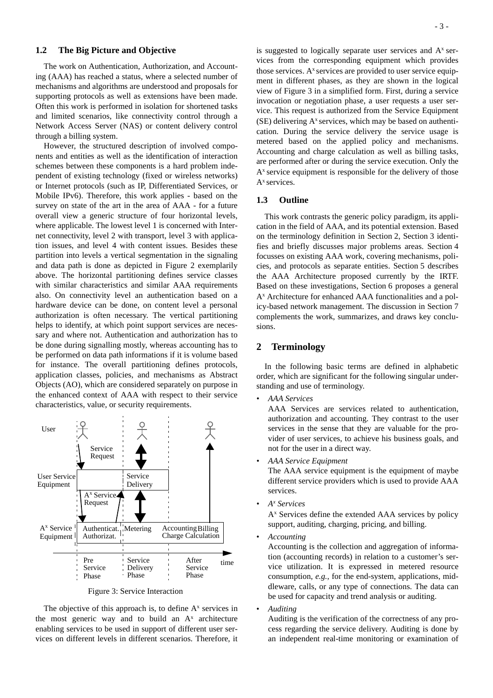## **1.2 The Big Picture and Objective**

The work on Authentication, Authorization, and Accounting (AAA) has reached a status, where a selected number of mechanisms and algorithms are understood and proposals for supporting protocols as well as extensions have been made. Often this work is performed in isolation for shortened tasks and limited scenarios, like connectivity control through a Network Access Server (NAS) or content delivery control through a billing system.

However, the structured description of involved components and entities as well as the identification of interaction schemes between these components is a hard problem independent of existing technology (fixed or wireless networks) or Internet protocols (such as IP, Differentiated Services, or Mobile IPv6). Therefore, this work applies - based on the survey on state of the art in the area of AAA - for a future overall view a generic structure of four horizontal levels, where applicable. The lowest level 1 is concerned with Internet connectivity, level 2 with transport, level 3 with application issues, and level 4 with content issues. Besides these partition into levels a vertical segmentation in the signaling and data path is done as depicted in Figure 2 exemplarily above. The horizontal partitioning defines service classes with similar characteristics and similar AAA requirements also. On connectivity level an authentication based on a hardware device can be done, on content level a personal authorization is often necessary. The vertical partitioning helps to identify, at which point support services are necessary and where not. Authentication and authorization has to be done during signalling mostly, whereas accounting has to be performed on data path informations if it is volume based for instance. The overall partitioning defines protocols, application classes, policies, and mechanisms as Abstract Objects (AO), which are considered separately on purpose in the enhanced context of AAA with respect to their service characteristics, value, or security requirements.



Figure 3: Service Interaction

The objective of this approach is, to define  $A<sup>x</sup>$  services in the most generic way and to build an  $A^x$  architecture enabling services to be used in support of different user services on different levels in different scenarios. Therefore, it is suggested to logically separate user services and  $A<sup>x</sup>$  services from the corresponding equipment which provides those services.  $A<sup>x</sup>$  services are provided to user service equipment in different phases, as they are shown in the logical view of Figure 3 in a simplified form. First, during a service invocation or negotiation phase, a user requests a user service. This request is authorized from the Service Equipment  $(SE)$  delivering  $A<sup>x</sup>$  services, which may be based on authentication. During the service delivery the service usage is metered based on the applied policy and mechanisms. Accounting and charge calculation as well as billing tasks, are performed after or during the service execution. Only the  $A<sup>x</sup>$  service equipment is responsible for the delivery of those  $A^x$  services.

## **1.3 Outline**

This work contrasts the generic policy paradigm, its application in the field of AAA, and its potential extension. Based on the terminology definition in Section 2, Section 3 identifies and briefly discusses major problems areas. Section 4 focusses on existing AAA work, covering mechanisms, policies, and protocols as separate entities. Section 5 describes the AAA Architecture proposed currently by the IRTF. Based on these investigations, Section 6 proposes a general Ax Architecture for enhanced AAA functionalities and a policy-based network management. The discussion in Section 7 complements the work, summarizes, and draws key conclusions.

# **2 Terminology**

In the following basic terms are defined in alphabetic order, which are significant for the following singular understanding and use of terminology.

*• AAA Services*

AAA Services are services related to authentication, authorization and accounting. They contrast to the user services in the sense that they are valuable for the provider of user services, to achieve his business goals, and not for the user in a direct way.

*• AAA Service Equipment*

The AAA service equipment is the equipment of maybe different service providers which is used to provide AAA services.

*• Ax Services*

 $A<sup>x</sup>$  Services define the extended AAA services by policy support, auditing, charging, pricing, and billing.

• *Accounting*

Accounting is the collection and aggregation of information (accounting records) in relation to a customer's service utilization. It is expressed in metered resource consumption, *e.g.*, for the end-system, applications, middleware, calls, or any type of connections. The data can be used for capacity and trend analysis or auditing.

• *Auditing*

Auditing is the verification of the correctness of any process regarding the service delivery. Auditing is done by an independent real-time monitoring or examination of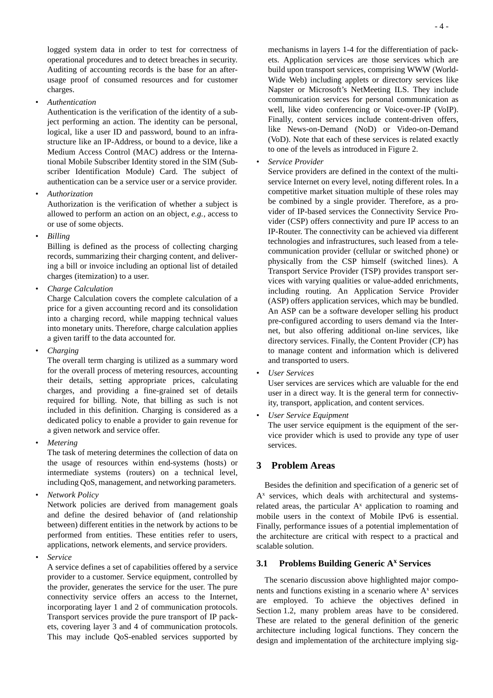logged system data in order to test for correctness of operational procedures and to detect breaches in security. Auditing of accounting records is the base for an afterusage proof of consumed resources and for customer charges.

• *Authentication*

Authentication is the verification of the identity of a subject performing an action. The identity can be personal, logical, like a user ID and password, bound to an infrastructure like an IP-Address, or bound to a device, like a Medium Access Control (MAC) address or the International Mobile Subscriber Identity stored in the SIM (Subscriber Identification Module) Card. The subject of authentication can be a service user or a service provider.

• *Authorization*

Authorization is the verification of whether a subject is allowed to perform an action on an object, *e.g.*, access to or use of some objects.

• *Billing*

Billing is defined as the process of collecting charging records, summarizing their charging content, and delivering a bill or invoice including an optional list of detailed charges (itemization) to a user.

• *Charge Calculation*

Charge Calculation covers the complete calculation of a price for a given accounting record and its consolidation into a charging record, while mapping technical values into monetary units. Therefore, charge calculation applies a given tariff to the data accounted for.

• *Charging*

The overall term charging is utilized as a summary word for the overall process of metering resources, accounting their details, setting appropriate prices, calculating charges, and providing a fine-grained set of details required for billing. Note, that billing as such is not included in this definition. Charging is considered as a dedicated policy to enable a provider to gain revenue for a given network and service offer.

• *Metering*

The task of metering determines the collection of data on the usage of resources within end-systems (hosts) or intermediate systems (routers) on a technical level, including QoS, management, and networking parameters.

• *Network Policy*

Network policies are derived from management goals and define the desired behavior of (and relationship between) different entities in the network by actions to be performed from entities. These entities refer to users, applications, network elements, and service providers.

*• Service*

A service defines a set of capabilities offered by a service provider to a customer. Service equipment, controlled by the provider, generates the service for the user. The pure connectivity service offers an access to the Internet, incorporating layer 1 and 2 of communication protocols. Transport services provide the pure transport of IP packets, covering layer 3 and 4 of communication protocols. This may include QoS-enabled services supported by mechanisms in layers 1-4 for the differentiation of packets. Application services are those services which are build upon transport services, comprising WWW (World-Wide Web) including applets or directory services like Napster or Microsoft's NetMeeting ILS. They include communication services for personal communication as well, like video conferencing or Voice-over-IP (VoIP). Finally, content services include content-driven offers, like News-on-Demand (NoD) or Video-on-Demand (VoD). Note that each of these services is related exactly to one of the levels as introduced in Figure 2.

• *Service Provider*

Service providers are defined in the context of the multiservice Internet on every level, noting different roles. In a competitive market situation multiple of these roles may be combined by a single provider. Therefore, as a provider of IP-based services the Connectivity Service Provider (CSP) offers connectivity and pure IP access to an IP-Router. The connectivity can be achieved via different technologies and infrastructures, such leased from a telecommunication provider (cellular or switched phone) or physically from the CSP himself (switched lines). A Transport Service Provider (TSP) provides transport services with varying qualities or value-added enrichments, including routing. An Application Service Provider (ASP) offers application services, which may be bundled. An ASP can be a software developer selling his product pre-configured according to users demand via the Internet, but also offering additional on-line services, like directory services. Finally, the Content Provider (CP) has to manage content and information which is delivered and transported to users.

• *User Services*

User services are services which are valuable for the end user in a direct way. It is the general term for connectivity, transport, application, and content services.

• *User Service Equipment*

The user service equipment is the equipment of the service provider which is used to provide any type of user services.

# **3 Problem Areas**

Besides the definition and specification of a generic set of A<sup>x</sup> services, which deals with architectural and systemsrelated areas, the particular  $A<sup>x</sup>$  application to roaming and mobile users in the context of Mobile IPv6 is essential. Finally, performance issues of a potential implementation of the architecture are critical with respect to a practical and scalable solution.

# **3.1 Problems Building Generic Ax Services**

The scenario discussion above highlighted major components and functions existing in a scenario where  $A<sup>x</sup>$  services are employed. To achieve the objectives defined in Section 1.2, many problem areas have to be considered. These are related to the general definition of the generic architecture including logical functions. They concern the design and implementation of the architecture implying sig-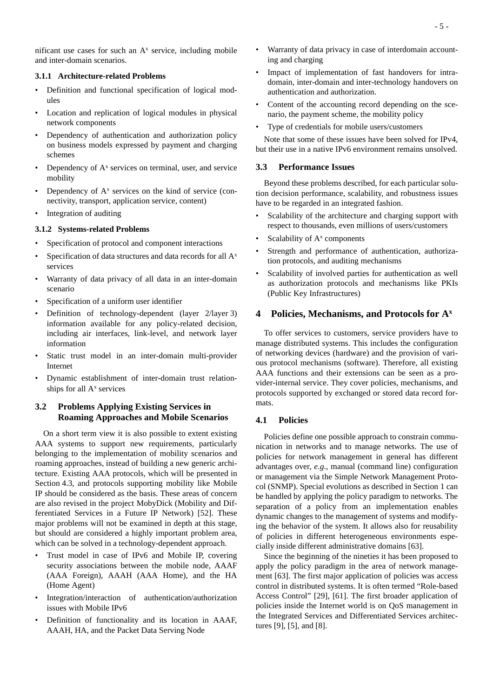nificant use cases for such an  $A<sup>x</sup>$  service, including mobile and inter-domain scenarios.

### **3.1.1 Architecture-related Problems**

- Definition and functional specification of logical modules
- Location and replication of logical modules in physical network components
- Dependency of authentication and authorization policy on business models expressed by payment and charging schemes
- Dependency of  $A^x$  services on terminal, user, and service mobility
- Dependency of  $A<sup>x</sup>$  services on the kind of service (connectivity, transport, application service, content)
- Integration of auditing

## **3.1.2 Systems-related Problems**

- Specification of protocol and component interactions
- Specification of data structures and data records for all  $A<sup>x</sup>$ services
- Warranty of data privacy of all data in an inter-domain scenario
- Specification of a uniform user identifier
- Definition of technology-dependent (layer 2/layer 3) information available for any policy-related decision, including air interfaces, link-level, and network layer information
- Static trust model in an inter-domain multi-provider Internet
- Dynamic establishment of inter-domain trust relationships for all  $A<sup>x</sup>$  services

# **3.2 Problems Applying Existing Services in Roaming Approaches and Mobile Scenarios**

On a short term view it is also possible to extent existing AAA systems to support new requirements, particularly belonging to the implementation of mobility scenarios and roaming approaches, instead of building a new generic architecture. Existing AAA protocols, which will be presented in Section 4.3, and protocols supporting mobility like Mobile IP should be considered as the basis. These areas of concern are also revised in the project MobyDick (Mobility and Differentiated Services in a Future IP Network) [52]. These major problems will not be examined in depth at this stage, but should are considered a highly important problem area, which can be solved in a technology-dependent approach.

- Trust model in case of IPv6 and Mobile IP, covering security associations between the mobile node, AAAF (AAA Foreign), AAAH (AAA Home), and the HA (Home Agent)
- Integration/interaction of authentication/authorization issues with Mobile IPv6
- Definition of functionality and its location in AAAF, AAAH, HA, and the Packet Data Serving Node
- Warranty of data privacy in case of interdomain accounting and charging
- Impact of implementation of fast handovers for intradomain, inter-domain and inter-technology handovers on authentication and authorization.
- Content of the accounting record depending on the scenario, the payment scheme, the mobility policy
- Type of credentials for mobile users/customers

Note that some of these issues have been solved for IPv4, but their use in a native IPv6 environment remains unsolved.

# **3.3 Performance Issues**

Beyond these problems described, for each particular solution decision performance, scalability, and robustness issues have to be regarded in an integrated fashion.

- Scalability of the architecture and charging support with respect to thousands, even millions of users/customers
- Scalability of  $A<sup>x</sup>$  components
- Strength and performance of authentication, authorization protocols, and auditing mechanisms
- Scalability of involved parties for authentication as well as authorization protocols and mechanisms like PKIs (Public Key Infrastructures)

# **4 Policies, Mechanisms, and Protocols for Ax**

To offer services to customers, service providers have to manage distributed systems. This includes the configuration of networking devices (hardware) and the provision of various protocol mechanisms (software). Therefore, all existing AAA functions and their extensions can be seen as a provider-internal service. They cover policies, mechanisms, and protocols supported by exchanged or stored data record formats.

# **4.1 Policies**

Policies define one possible approach to constrain communication in networks and to manage networks. The use of policies for network management in general has different advantages over, *e.g.*, manual (command line) configuration or management via the Simple Network Management Protocol (SNMP). Special evolutions as described in Section 1 can be handled by applying the policy paradigm to networks. The separation of a policy from an implementation enables dynamic changes to the management of systems and modifying the behavior of the system. It allows also for reusability of policies in different heterogeneous environments especially inside different administrative domains [63].

Since the beginning of the nineties it has been proposed to apply the policy paradigm in the area of network management [63]. The first major application of policies was access control in distributed systems. It is often termed "Role-based Access Control" [29], [61]. The first broader application of policies inside the Internet world is on QoS management in the Integrated Services and Differentiated Services architectures [9], [5], and [8].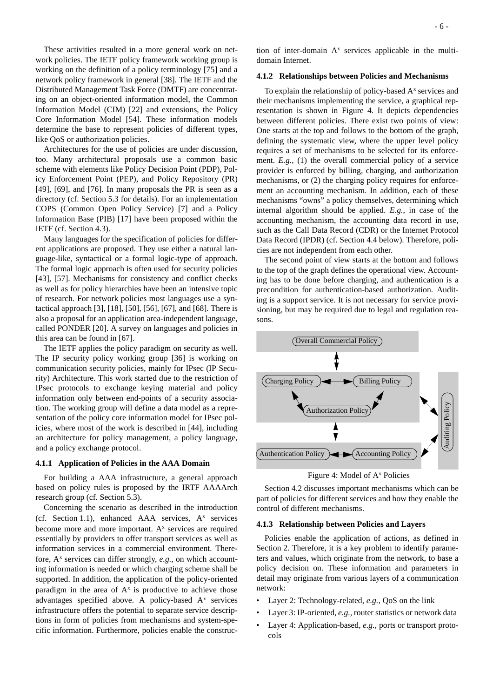These activities resulted in a more general work on network policies. The IETF policy framework working group is working on the definition of a policy terminology [75] and a network policy framework in general [38]. The IETF and the Distributed Management Task Force (DMTF) are concentrating on an object-oriented information model, the Common Information Model (CIM) [22] and extensions, the Policy Core Information Model [54]. These information models determine the base to represent policies of different types, like QoS or authorization policies.

Architectures for the use of policies are under discussion, too. Many architectural proposals use a common basic scheme with elements like Policy Decision Point (PDP), Policy Enforcement Point (PEP), and Policy Repository (PR) [49], [69], and [76]. In many proposals the PR is seen as a directory (cf. Section 5.3 for details). For an implementation COPS (Common Open Policy Service) [7] and a Policy Information Base (PIB) [17] have been proposed within the IETF (cf. Section 4.3).

Many languages for the specification of policies for different applications are proposed. They use either a natural language-like, syntactical or a formal logic-type of approach. The formal logic approach is often used for security policies [43], [57]. Mechanisms for consistency and conflict checks as well as for policy hierarchies have been an intensive topic of research. For network policies most languages use a syntactical approach [3], [18], [50], [56], [67], and [68]. There is also a proposal for an application area-independent language, called PONDER [20]. A survey on languages and policies in this area can be found in [67].

The IETF applies the policy paradigm on security as well. The IP security policy working group [36] is working on communication security policies, mainly for IPsec (IP Security) Architecture. This work started due to the restriction of IPsec protocols to exchange keying material and policy information only between end-points of a security association. The working group will define a data model as a representation of the policy core information model for IPsec policies, where most of the work is described in [44], including an architecture for policy management, a policy language, and a policy exchange protocol.

#### **4.1.1 Application of Policies in the AAA Domain**

For building a AAA infrastructure, a general approach based on policy rules is proposed by the IRTF AAAArch research group (cf. Section 5.3).

Concerning the scenario as described in the introduction (cf. Section 1.1), enhanced AAA services,  $A^x$  services become more and more important.  $A<sup>x</sup>$  services are required essentially by providers to offer transport services as well as information services in a commercial environment. Therefore,  $A^x$  services can differ strongly,  $e.g.,$  on which accounting information is needed or which charging scheme shall be supported. In addition, the application of the policy-oriented paradigm in the area of  $A^x$  is productive to achieve those advantages specified above. A policy-based  $A<sup>x</sup>$  services infrastructure offers the potential to separate service descriptions in form of policies from mechanisms and system-specific information. Furthermore, policies enable the construc-

tion of inter-domain  $A^x$  services applicable in the multidomain Internet.

## **4.1.2 Relationships between Policies and Mechanisms**

To explain the relationship of policy-based  $A<sup>x</sup>$  services and their mechanisms implementing the service, a graphical representation is shown in Figure 4. It depicts dependencies between different policies. There exist two points of view: One starts at the top and follows to the bottom of the graph, defining the systematic view, where the upper level policy requires a set of mechanisms to be selected for its enforcement. *E.g.*, (1) the overall commercial policy of a service provider is enforced by billing, charging, and authorization mechanisms, or (2) the charging policy requires for enforcement an accounting mechanism. In addition, each of these mechanisms "owns" a policy themselves, determining which internal algorithm should be applied. *E.g.*, in case of the accounting mechanism, the accounting data record in use, such as the Call Data Record (CDR) or the Internet Protocol Data Record (IPDR) (cf. Section 4.4 below). Therefore, policies are not independent from each other.

The second point of view starts at the bottom and follows to the top of the graph defines the operational view. Accounting has to be done before charging, and authentication is a precondition for authentication-based authorization. Auditing is a support service. It is not necessary for service provisioning, but may be required due to legal and regulation reasons.



Figure 4: Model of A<sup>x</sup> Policies

Section 4.2 discusses important mechanisms which can be part of policies for different services and how they enable the control of different mechanisms.

#### **4.1.3 Relationship between Policies and Layers**

Policies enable the application of actions, as defined in Section 2. Therefore, it is a key problem to identify parameters and values, which originate from the network, to base a policy decision on. These information and parameters in detail may originate from various layers of a communication network:

- Layer 2: Technology-related, *e.g.*, QoS on the link
- Layer 3: IP-oriented, *e.g.*, router statistics or network data
- Layer 4: Application-based, *e.g.,* ports or transport protocols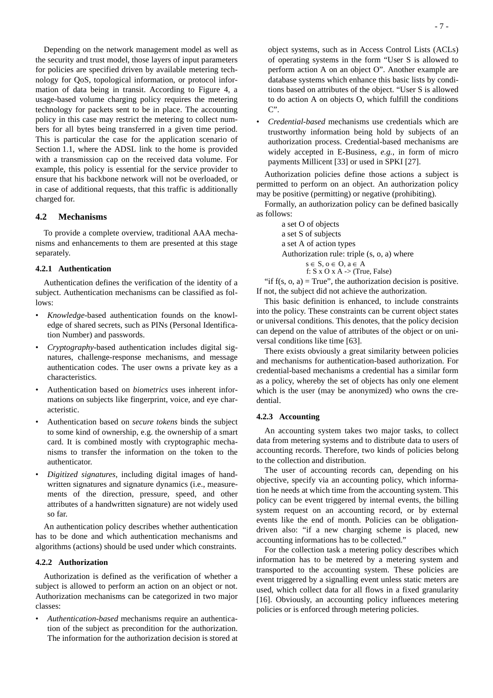Depending on the network management model as well as the security and trust model, those layers of input parameters for policies are specified driven by available metering technology for QoS, topological information, or protocol information of data being in transit. According to Figure 4, a usage-based volume charging policy requires the metering technology for packets sent to be in place. The accounting policy in this case may restrict the metering to collect numbers for all bytes being transferred in a given time period. This is particular the case for the application scenario of Section 1.1, where the ADSL link to the home is provided with a transmission cap on the received data volume. For example, this policy is essential for the service provider to ensure that his backbone network will not be overloaded, or in case of additional requests, that this traffic is additionally charged for.

## **4.2 Mechanisms**

To provide a complete overview, traditional AAA mechanisms and enhancements to them are presented at this stage separately.

# **4.2.1 Authentication**

Authentication defines the verification of the identity of a subject. Authentication mechanisms can be classified as follows:

- *Knowledge*-based authentication founds on the knowledge of shared secrets, such as PINs (Personal Identification Number) and passwords.
- *Cryptography*-based authentication includes digital signatures, challenge-response mechanisms, and message authentication codes. The user owns a private key as a characteristics.
- Authentication based on *biometrics* uses inherent informations on subjects like fingerprint, voice, and eye characteristic.
- Authentication based on *secure tokens* binds the subject to some kind of ownership, e.g. the ownership of a smart card. It is combined mostly with cryptographic mechanisms to transfer the information on the token to the authenticator.
- *Digitized signatures*, including digital images of handwritten signatures and signature dynamics (i.e., measurements of the direction, pressure, speed, and other attributes of a handwritten signature) are not widely used so far.

An authentication policy describes whether authentication has to be done and which authentication mechanisms and algorithms (actions) should be used under which constraints.

### **4.2.2 Authorization**

Authorization is defined as the verification of whether a subject is allowed to perform an action on an object or not. Authorization mechanisms can be categorized in two major classes:

• *Authentication-based* mechanisms require an authentication of the subject as precondition for the authorization. The information for the authorization decision is stored at • *Credential-based* mechanisms use credentials which are trustworthy information being hold by subjects of an authorization process. Credential-based mechanisms are widely accepted in E-Business, *e.g.*, in form of micro payments Millicent [33] or used in SPKI [27].

Authorization policies define those actions a subject is permitted to perform on an object. An authorization policy may be positive (permitting) or negative (prohibiting).

Formally, an authorization policy can be defined basically as follows:

> a set O of objects a set S of subjects a set A of action types Authorization rule: triple (s, o, a) where  $s \in S, o \in O, a \in A$ f:  $S \times O \times A$  -> (True, False)

"if  $f(s, 0, a) = True$ ", the authorization decision is positive. If not, the subject did not achieve the authorization.

This basic definition is enhanced, to include constraints into the policy. These constraints can be current object states or universal conditions. This denotes, that the policy decision can depend on the value of attributes of the object or on universal conditions like time [63].

There exists obviously a great similarity between policies and mechanisms for authentication-based authorization. For credential-based mechanisms a credential has a similar form as a policy, whereby the set of objects has only one element which is the user (may be anonymized) who owns the credential.

### **4.2.3 Accounting**

An accounting system takes two major tasks, to collect data from metering systems and to distribute data to users of accounting records. Therefore, two kinds of policies belong to the collection and distribution.

The user of accounting records can, depending on his objective, specify via an accounting policy, which information he needs at which time from the accounting system. This policy can be event triggered by internal events, the billing system request on an accounting record, or by external events like the end of month. Policies can be obligationdriven also: "if a new charging scheme is placed, new accounting informations has to be collected."

For the collection task a metering policy describes which information has to be metered by a metering system and transported to the accounting system. These policies are event triggered by a signalling event unless static meters are used, which collect data for all flows in a fixed granularity [16]. Obviously, an accounting policy influences metering policies or is enforced through metering policies.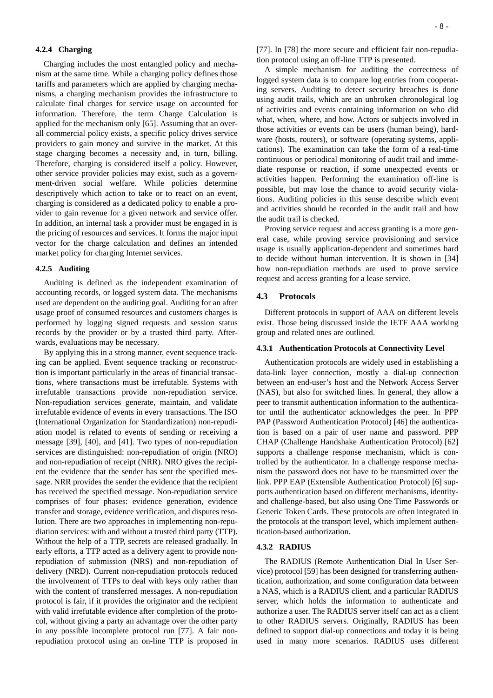### **4.2.4 Charging**

Charging includes the most entangled policy and mechanism at the same time. While a charging policy defines those tariffs and parameters which are applied by charging mechanisms, a charging mechanism provides the infrastructure to calculate final charges for service usage on accounted for information. Therefore, the term Charge Calculation is applied for the mechanism only [65]. Assuming that an overall commercial policy exists, a specific policy drives service providers to gain money and survive in the market. At this stage charging becomes a necessity and, in turn, billing. Therefore, charging is considered itself a policy. However, other service provider policies may exist, such as a government-driven social welfare. While policies determine descriptively which action to take or to react on an event, charging is considered as a dedicated policy to enable a provider to gain revenue for a given network and service offer. In addition, an internal task a provider must be engaged in is the pricing of resources and services. It forms the major input vector for the charge calculation and defines an intended market policy for charging Internet services.

### **4.2.5 Auditing**

Auditing is defined as the independent examination of accounting records, or logged system data. The mechanisms used are dependent on the auditing goal. Auditing for an after usage proof of consumed resources and customers charges is performed by logging signed requests and session status records by the provider or by a trusted third party. Afterwards, evaluations may be necessary.

By applying this in a strong manner, event sequence tracking can be applied. Event sequence tracking or reconstruction is important particularly in the areas of financial transactions, where transactions must be irrefutable. Systems with irrefutable transactions provide non-repudiation service. Non-repudiation services generate, maintain, and validate irrefutable evidence of events in every transactions. The ISO (International Organization for Standardization) non-repudiation model is related to events of sending or receiving a message [39], [40], and [41]. Two types of non-repudiation services are distinguished: non-repudiation of origin (NRO) and non-repudiation of receipt (NRR). NRO gives the recipient the evidence that the sender has sent the specified message. NRR provides the sender the evidence that the recipient has received the specified message. Non-repudiation service comprises of four phases: evidence generation, evidence transfer and storage, evidence verification, and disputes resolution. There are two approaches in implementing non-repudiation services: with and without a trusted third party (TTP). Without the help of a TTP, secrets are released gradually. In early efforts, a TTP acted as a delivery agent to provide nonrepudiation of submission (NRS) and non-repudiation of delivery (NRD). Current non-repudiation protocols reduced the involvement of TTPs to deal with keys only rather than with the content of transferred messages. A non-repudiation protocol is fair, if it provides the originator and the recipient with valid irrefutable evidence after completion of the protocol, without giving a party an advantage over the other party in any possible incomplete protocol run [77]. A fair nonrepudiation protocol using an on-line TTP is proposed in [77]. In [78] the more secure and efficient fair non-repudiation protocol using an off-line TTP is presented.

A simple mechanism for auditing the correctness of logged system data is to compare log entries from cooperating servers. Auditing to detect security breaches is done using audit trails, which are an unbroken chronological log of activities and events containing information on who did what, when, where, and how. Actors or subjects involved in those activities or events can be users (human being), hardware (hosts, routers), or software (operating systems, applications). The examination can take the form of a real-time continuous or periodical monitoring of audit trail and immediate response or reaction, if some unexpected events or activities happen. Performing the examination off-line is possible, but may lose the chance to avoid security violations. Auditing policies in this sense describe which event and activities should be recorded in the audit trail and how the audit trail is checked.

Proving service request and access granting is a more general case, while proving service provisioning and service usage is usually application-dependent and sometimes hard to decide without human intervention. It is shown in [34] how non-repudiation methods are used to prove service request and access granting for a lease service.

## **4.3 Protocols**

Different protocols in support of AAA on different levels exist. Those being discussed inside the IETF AAA working group and related ones are outlined.

#### **4.3.1 Authentication Protocols at Connectivity Level**

Authentication protocols are widely used in establishing a data-link layer connection, mostly a dial-up connection between an end-user's host and the Network Access Server (NAS), but also for switched lines. In general, they allow a peer to transmit authentication information to the authenticator until the authenticator acknowledges the peer. In PPP PAP (Password Authentication Protocol) [46] the authentication is based on a pair of user name and password. PPP CHAP (Challenge Handshake Authentication Protocol) [62] supports a challenge response mechanism, which is controlled by the authenticator. In a challenge response mechanism the password does not have to be transmitted over the link. PPP EAP (Extensible Authentication Protocol) [6] supports authentication based on different mechanisms, identityand challenge-based, but also using One Time Passwords or Generic Token Cards. These protocols are often integrated in the protocols at the transport level, which implement authentication-based authorization.

### **4.3.2 RADIUS**

The RADIUS (Remote Authentication Dial In User Service) protocol [59] has been designed for transferring authentication, authorization, and some configuration data between a NAS, which is a RADIUS client, and a particular RADIUS server, which holds the information to authenticate and authorize a user. The RADIUS server itself can act as a client to other RADIUS servers. Originally, RADIUS has been defined to support dial-up connections and today it is being used in many more scenarios. RADIUS uses different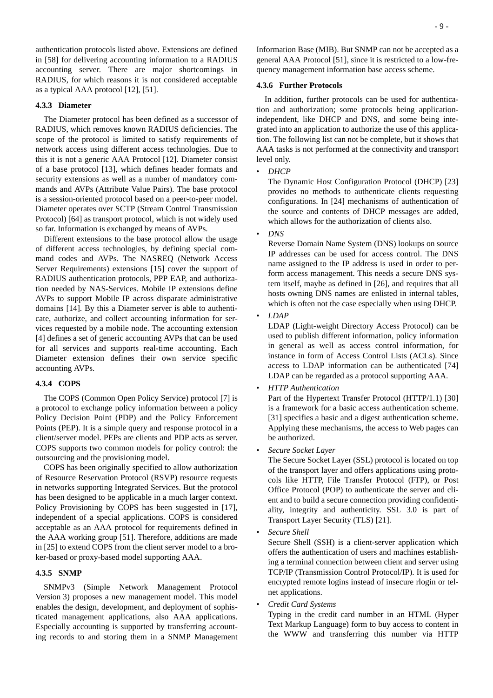authentication protocols listed above. Extensions are defined in [58] for delivering accounting information to a RADIUS accounting server. There are major shortcomings in RADIUS, for which reasons it is not considered acceptable as a typical AAA protocol [12], [51].

## **4.3.3 Diameter**

The Diameter protocol has been defined as a successor of RADIUS, which removes known RADIUS deficiencies. The scope of the protocol is limited to satisfy requirements of network access using different access technologies. Due to this it is not a generic AAA Protocol [12]. Diameter consist of a base protocol [13], which defines header formats and security extensions as well as a number of mandatory commands and AVPs (Attribute Value Pairs). The base protocol is a session-oriented protocol based on a peer-to-peer model. Diameter operates over SCTP (Stream Control Transmission Protocol) [64] as transport protocol, which is not widely used so far. Information is exchanged by means of AVPs.

Different extensions to the base protocol allow the usage of different access technologies, by defining special command codes and AVPs. The NASREQ (Network Access Server Requirements) extensions [15] cover the support of RADIUS authentication protocols, PPP EAP, and authorization needed by NAS-Services. Mobile IP extensions define AVPs to support Mobile IP across disparate administrative domains [14]. By this a Diameter server is able to authenticate, authorize, and collect accounting information for services requested by a mobile node. The accounting extension [4] defines a set of generic accounting AVPs that can be used for all services and supports real-time accounting. Each Diameter extension defines their own service specific accounting AVPs.

### **4.3.4 COPS**

The COPS (Common Open Policy Service) protocol [7] is a protocol to exchange policy information between a policy Policy Decision Point (PDP) and the Policy Enforcement Points (PEP). It is a simple query and response protocol in a client/server model. PEPs are clients and PDP acts as server. COPS supports two common models for policy control: the outsourcing and the provisioning model.

COPS has been originally specified to allow authorization of Resource Reservation Protocol (RSVP) resource requests in networks supporting Integrated Services. But the protocol has been designed to be applicable in a much larger context. Policy Provisioning by COPS has been suggested in [17], independent of a special applications. COPS is considered acceptable as an AAA protocol for requirements defined in the AAA working group [51]. Therefore, additions are made in [25] to extend COPS from the client server model to a broker-based or proxy-based model supporting AAA.

### **4.3.5 SNMP**

SNMPv3 (Simple Network Management Protocol Version 3) proposes a new management model. This model enables the design, development, and deployment of sophisticated management applications, also AAA applications. Especially accounting is supported by transferring accounting records to and storing them in a SNMP Management Information Base (MIB). But SNMP can not be accepted as a general AAA Protocol [51], since it is restricted to a low-frequency management information base access scheme.

### **4.3.6 Further Protocols**

In addition, further protocols can be used for authentication and authorization; some protocols being applicationindependent, like DHCP and DNS, and some being integrated into an application to authorize the use of this application. The following list can not be complete, but it shows that AAA tasks is not performed at the connectivity and transport level only.

• *DHCP*

The Dynamic Host Configuration Protocol (DHCP) [23] provides no methods to authenticate clients requesting configurations. In [24] mechanisms of authentication of the source and contents of DHCP messages are added, which allows for the authorization of clients also.

• *DNS*

Reverse Domain Name System (DNS) lookups on source IP addresses can be used for access control. The DNS name assigned to the IP address is used in order to perform access management. This needs a secure DNS system itself, maybe as defined in [26], and requires that all hosts owning DNS names are enlisted in internal tables, which is often not the case especially when using DHCP.

*• LDAP*

LDAP (Light-weight Directory Access Protocol) can be used to publish different information, policy information in general as well as access control information, for instance in form of Access Control Lists (ACLs). Since access to LDAP information can be authenticated [74] LDAP can be regarded as a protocol supporting AAA.

• *HTTP Authentication*

Part of the Hypertext Transfer Protocol (HTTP/1.1) [30] is a framework for a basic access authentication scheme. [31] specifies a basic and a digest authentication scheme. Applying these mechanisms, the access to Web pages can be authorized.

*• Secure Socket Layer*

The Secure Socket Layer (SSL) protocol is located on top of the transport layer and offers applications using protocols like HTTP, File Transfer Protocol (FTP), or Post Office Protocol (POP) to authenticate the server and client and to build a secure connection providing confidentiality, integrity and authenticity. SSL 3.0 is part of Transport Layer Security (TLS) [21].

*• Secure Shell*

Secure Shell (SSH) is a client-server application which offers the authentication of users and machines establishing a terminal connection between client and server using TCP/IP (Transmission Control Protocol/IP). It is used for encrypted remote logins instead of insecure rlogin or telnet applications.

*• Credit Card Systems*

Typing in the credit card number in an HTML (Hyper Text Markup Language) form to buy access to content in the WWW and transferring this number via HTTP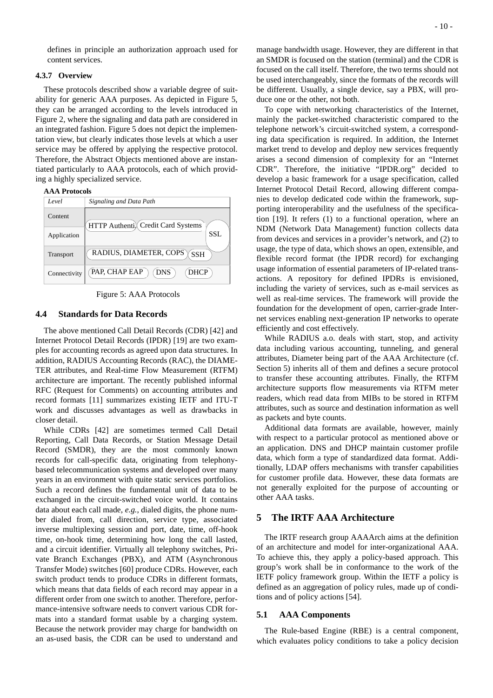defines in principle an authorization approach used for content services.

### **4.3.7 Overview**

These protocols described show a variable degree of suitability for generic AAA purposes. As depicted in Figure 5, they can be arranged according to the levels introduced in Figure 2, where the signaling and data path are considered in an integrated fashion. Figure 5 does not depict the implementation view, but clearly indicates those levels at which a user service may be offered by applying the respective protocol. Therefore, the Abstract Objects mentioned above are instantiated particularly to AAA protocols, each of which providing a highly specialized service.

#### **AAA Protocols**





### **4.4 Standards for Data Records**

The above mentioned Call Detail Records (CDR) [42] and Internet Protocol Detail Records (IPDR) [19] are two examples for accounting records as agreed upon data structures. In addition, RADIUS Accounting Records (RAC), the DIAME-TER attributes, and Real-time Flow Measurement (RTFM) architecture are important. The recently published informal RFC (Request for Comments) on accounting attributes and record formats [11] summarizes existing IETF and ITU-T work and discusses advantages as well as drawbacks in closer detail.

While CDRs [42] are sometimes termed Call Detail Reporting, Call Data Records, or Station Message Detail Record (SMDR), they are the most commonly known records for call-specific data, originating from telephonybased telecommunication systems and developed over many years in an environment with quite static services portfolios. Such a record defines the fundamental unit of data to be exchanged in the circuit-switched voice world. It contains data about each call made, *e.g.*, dialed digits, the phone number dialed from, call direction, service type, associated inverse multiplexing session and port, date, time, off-hook time, on-hook time, determining how long the call lasted, and a circuit identifier. Virtually all telephony switches, Private Branch Exchanges (PBX), and ATM (Asynchronous Transfer Mode) switches [60] produce CDRs. However, each switch product tends to produce CDRs in different formats, which means that data fields of each record may appear in a different order from one switch to another. Therefore, performance-intensive software needs to convert various CDR formats into a standard format usable by a charging system. Because the network provider may charge for bandwidth on an as-used basis, the CDR can be used to understand and manage bandwidth usage. However, they are different in that an SMDR is focused on the station (terminal) and the CDR is focused on the call itself. Therefore, the two terms should not be used interchangeably, since the formats of the records will be different. Usually, a single device, say a PBX, will produce one or the other, not both.

To cope with networking characteristics of the Internet, mainly the packet-switched characteristic compared to the telephone network's circuit-switched system, a corresponding data specification is required. In addition, the Internet market trend to develop and deploy new services frequently arises a second dimension of complexity for an "Internet CDR". Therefore, the initiative "IPDR.org" decided to develop a basic framework for a usage specification, called Internet Protocol Detail Record, allowing different companies to develop dedicated code within the framework, supporting interoperability and the usefulness of the specification [19]. It refers (1) to a functional operation, where an NDM (Network Data Management) function collects data from devices and services in a provider's network, and (2) to usage, the type of data, which shows an open, extensible, and flexible record format (the IPDR record) for exchanging usage information of essential parameters of IP-related transactions. A repository for defined IPDRs is envisioned, including the variety of services, such as e-mail services as well as real-time services. The framework will provide the foundation for the development of open, carrier-grade Internet services enabling next-generation IP networks to operate efficiently and cost effectively.

While RADIUS a.o. deals with start, stop, and activity data including various accounting, tunneling, and general attributes, Diameter being part of the AAA Architecture (cf. Section 5) inherits all of them and defines a secure protocol to transfer these accounting attributes. Finally, the RTFM architecture supports flow measurements via RTFM meter readers, which read data from MIBs to be stored in RTFM attributes, such as source and destination information as well as packets and byte counts.

Additional data formats are available, however, mainly with respect to a particular protocol as mentioned above or an application. DNS and DHCP maintain customer profile data, which form a type of standardized data format. Additionally, LDAP offers mechanisms with transfer capabilities for customer profile data. However, these data formats are not generally exploited for the purpose of accounting or other AAA tasks.

# **5 The IRTF AAA Architecture**

The IRTF research group AAAArch aims at the definition of an architecture and model for inter-organizational AAA. To achieve this, they apply a policy-based approach. This group's work shall be in conformance to the work of the IETF policy framework group. Within the IETF a policy is defined as an aggregation of policy rules, made up of conditions and of policy actions [54].

## **5.1 AAA Components**

The Rule-based Engine (RBE) is a central component, which evaluates policy conditions to take a policy decision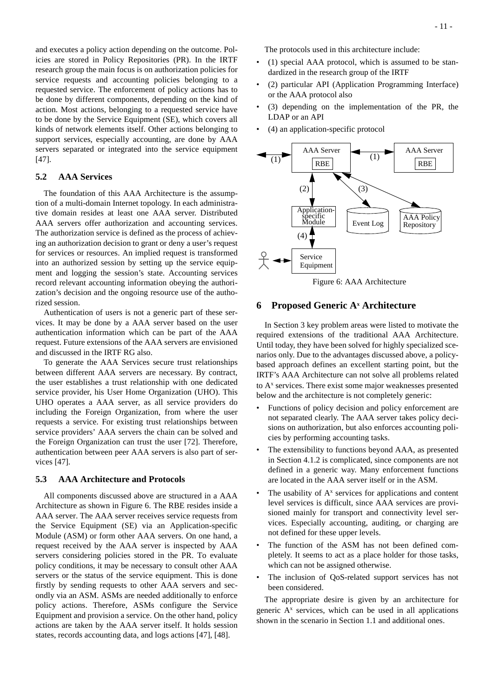and executes a policy action depending on the outcome. Policies are stored in Policy Repositories (PR). In the IRTF research group the main focus is on authorization policies for service requests and accounting policies belonging to a requested service. The enforcement of policy actions has to be done by different components, depending on the kind of action. Most actions, belonging to a requested service have to be done by the Service Equipment (SE), which covers all kinds of network elements itself. Other actions belonging to support services, especially accounting, are done by AAA servers separated or integrated into the service equipment [47].

# **5.2 AAA Services**

The foundation of this AAA Architecture is the assumption of a multi-domain Internet topology. In each administrative domain resides at least one AAA server. Distributed AAA servers offer authorization and accounting services. The authorization service is defined as the process of achieving an authorization decision to grant or deny a user's request for services or resources. An implied request is transformed into an authorized session by setting up the service equipment and logging the session's state. Accounting services record relevant accounting information obeying the authorization's decision and the ongoing resource use of the authorized session.

Authentication of users is not a generic part of these services. It may be done by a AAA server based on the user authentication information which can be part of the AAA request. Future extensions of the AAA servers are envisioned and discussed in the IRTF RG also.

To generate the AAA Services secure trust relationships between different AAA servers are necessary. By contract, the user establishes a trust relationship with one dedicated service provider, his User Home Organization (UHO). This UHO operates a AAA server, as all service providers do including the Foreign Organization, from where the user requests a service. For existing trust relationships between service providers' AAA servers the chain can be solved and the Foreign Organization can trust the user [72]. Therefore, authentication between peer AAA servers is also part of services [47].

## **5.3 AAA Architecture and Protocols**

All components discussed above are structured in a AAA Architecture as shown in Figure 6. The RBE resides inside a AAA server. The AAA server receives service requests from the Service Equipment (SE) via an Application-specific Module (ASM) or form other AAA servers. On one hand, a request received by the AAA server is inspected by AAA servers considering policies stored in the PR. To evaluate policy conditions, it may be necessary to consult other AAA servers or the status of the service equipment. This is done firstly by sending requests to other AAA servers and secondly via an ASM. ASMs are needed additionally to enforce policy actions. Therefore, ASMs configure the Service Equipment and provision a service. On the other hand, policy actions are taken by the AAA server itself. It holds session states, records accounting data, and logs actions [47], [48].

The protocols used in this architecture include:

- (1) special AAA protocol, which is assumed to be standardized in the research group of the IRTF
- (2) particular API (Application Programming Interface) or the AAA protocol also
- (3) depending on the implementation of the PR, the LDAP or an API
- (4) an application-specific protocol



Figure 6: AAA Architecture

# **6 Proposed Generic Ax Architecture**

In Section 3 key problem areas were listed to motivate the required extensions of the traditional AAA Architecture. Until today, they have been solved for highly specialized scenarios only. Due to the advantages discussed above, a policybased approach defines an excellent starting point, but the IRTF's AAA Architecture can not solve all problems related to A<sup>x</sup> services. There exist some major weaknesses presented below and the architecture is not completely generic:

- Functions of policy decision and policy enforcement are not separated clearly. The AAA server takes policy decisions on authorization, but also enforces accounting policies by performing accounting tasks.
- The extensibility to functions beyond AAA, as presented in Section 4.1.2 is complicated, since components are not defined in a generic way. Many enforcement functions are located in the AAA server itself or in the ASM.
- The usability of  $A<sup>x</sup>$  services for applications and content level services is difficult, since AAA services are provisioned mainly for transport and connectivity level services. Especially accounting, auditing, or charging are not defined for these upper levels.
- The function of the ASM has not been defined completely. It seems to act as a place holder for those tasks, which can not be assigned otherwise.
- The inclusion of OoS-related support services has not been considered.

The appropriate desire is given by an architecture for generic A<sup>x</sup> services, which can be used in all applications shown in the scenario in Section 1.1 and additional ones.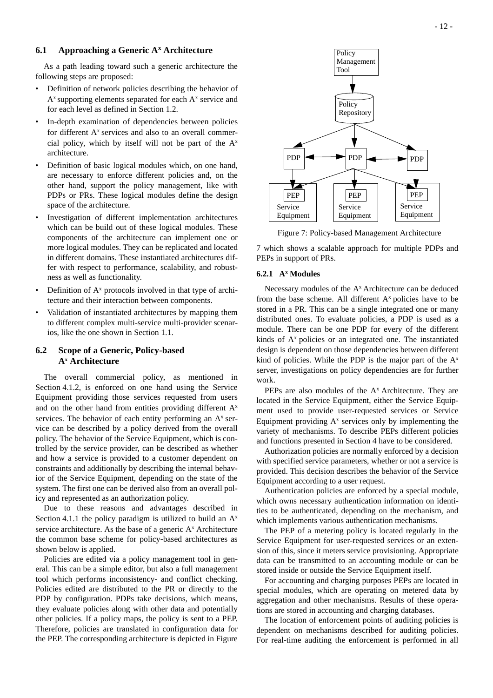# **6.1 Approaching a Generic Ax Architecture**

As a path leading toward such a generic architecture the following steps are proposed:

- Definition of network policies describing the behavior of  $A^x$  supporting elements separated for each  $A^x$  service and for each level as defined in Section 1.2.
- In-depth examination of dependencies between policies for different  $A<sup>x</sup>$  services and also to an overall commercial policy, which by itself will not be part of the  $A^x$ architecture.
- Definition of basic logical modules which, on one hand, are necessary to enforce different policies and, on the other hand, support the policy management, like with PDPs or PRs. These logical modules define the design space of the architecture.
- Investigation of different implementation architectures which can be build out of these logical modules. These components of the architecture can implement one or more logical modules. They can be replicated and located in different domains. These instantiated architectures differ with respect to performance, scalability, and robustness as well as functionality.
- Definition of  $A^x$  protocols involved in that type of architecture and their interaction between components.
- Validation of instantiated architectures by mapping them to different complex multi-service multi-provider scenarios, like the one shown in Section 1.1.

# **6.2 Scope of a Generic, Policy-based Ax Architecture**

The overall commercial policy, as mentioned in Section 4.1.2, is enforced on one hand using the Service Equipment providing those services requested from users and on the other hand from entities providing different Ax services. The behavior of each entity performing an  $A^x$  service can be described by a policy derived from the overall policy. The behavior of the Service Equipment, which is controlled by the service provider, can be described as whether and how a service is provided to a customer dependent on constraints and additionally by describing the internal behavior of the Service Equipment, depending on the state of the system. The first one can be derived also from an overall policy and represented as an authorization policy.

Due to these reasons and advantages described in Section 4.1.1 the policy paradigm is utilized to build an  $A^x$ service architecture. As the base of a generic  $A<sup>x</sup>$  Architecture the common base scheme for policy-based architectures as shown below is applied.

Policies are edited via a policy management tool in general. This can be a simple editor, but also a full management tool which performs inconsistency- and conflict checking. Policies edited are distributed to the PR or directly to the PDP by configuration. PDPs take decisions, which means, they evaluate policies along with other data and potentially other policies. If a policy maps, the policy is sent to a PEP. Therefore, policies are translated in configuration data for the PEP. The corresponding architecture is depicted in Figure



Figure 7: Policy-based Management Architecture

7 which shows a scalable approach for multiple PDPs and PEPs in support of PRs.

## **6.2.1 Ax Modules**

Necessary modules of the A<sup>x</sup> Architecture can be deduced from the base scheme. All different  $A<sup>x</sup>$  policies have to be stored in a PR. This can be a single integrated one or many distributed ones. To evaluate policies, a PDP is used as a module. There can be one PDP for every of the different kinds of  $A<sup>x</sup>$  policies or an integrated one. The instantiated design is dependent on those dependencies between different kind of policies. While the PDP is the major part of the  $A^x$ server, investigations on policy dependencies are for further work.

PEPs are also modules of the  $A<sup>x</sup>$  Architecture. They are located in the Service Equipment, either the Service Equipment used to provide user-requested services or Service Equipment providing  $A<sup>x</sup>$  services only by implementing the variety of mechanisms. To describe PEPs different policies and functions presented in Section 4 have to be considered.

Authorization policies are normally enforced by a decision with specified service parameters, whether or not a service is provided. This decision describes the behavior of the Service Equipment according to a user request.

Authentication policies are enforced by a special module, which owns necessary authentication information on identities to be authenticated, depending on the mechanism, and which implements various authentication mechanisms.

The PEP of a metering policy is located regularly in the Service Equipment for user-requested services or an extension of this, since it meters service provisioning. Appropriate data can be transmitted to an accounting module or can be stored inside or outside the Service Equipment itself.

For accounting and charging purposes PEPs are located in special modules, which are operating on metered data by aggregation and other mechanisms. Results of these operations are stored in accounting and charging databases.

The location of enforcement points of auditing policies is dependent on mechanisms described for auditing policies. For real-time auditing the enforcement is performed in all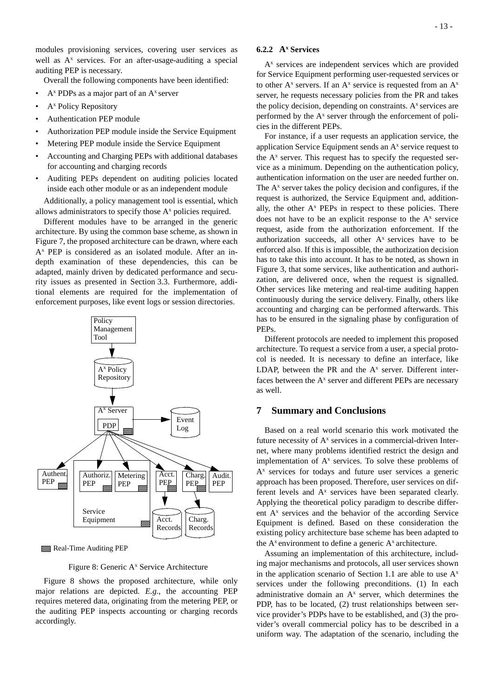modules provisioning services, covering user services as well as A<sup>x</sup> services. For an after-usage-auditing a special auditing PEP is necessary.

Overall the following components have been identified:

- $A^x$  PDPs as a major part of an  $A^x$  server
- A<sup>x</sup> Policy Repository
- Authentication PEP module
- Authorization PEP module inside the Service Equipment
- Metering PEP module inside the Service Equipment
- Accounting and Charging PEPs with additional databases for accounting and charging records
- Auditing PEPs dependent on auditing policies located inside each other module or as an independent module

Additionally, a policy management tool is essential, which allows administrators to specify those  $A<sup>x</sup>$  policies required.

Different modules have to be arranged in the generic architecture. By using the common base scheme, as shown in Figure 7, the proposed architecture can be drawn, where each Ax PEP is considered as an isolated module. After an indepth examination of these dependencies, this can be adapted, mainly driven by dedicated performance and security issues as presented in Section 3.3. Furthermore, additional elements are required for the implementation of enforcement purposes, like event logs or session directories.



Real-Time Auditing PEP

Figure 8: Generic A<sup>x</sup> Service Architecture

Figure 8 shows the proposed architecture, while only major relations are depicted. *E.g.*, the accounting PEP requires metered data, originating from the metering PEP, or the auditing PEP inspects accounting or charging records accordingly.

## **6.2.2 Ax Services**

 $A<sup>x</sup>$  services are independent services which are provided for Service Equipment performing user-requested services or to other  $A^x$  servers. If an  $A^x$  service is requested from an  $A^x$ server, he requests necessary policies from the PR and takes the policy decision, depending on constraints.  $A^x$  services are performed by the  $A<sup>x</sup>$  server through the enforcement of policies in the different PEPs.

For instance, if a user requests an application service, the application Service Equipment sends an A<sup>x</sup> service request to the  $A<sup>x</sup>$  server. This request has to specify the requested service as a minimum. Depending on the authentication policy, authentication information on the user are needed further on. The  $A<sup>x</sup>$  server takes the policy decision and configures, if the request is authorized, the Service Equipment and, additionally, the other  $A^x$  PEPs in respect to these policies. There does not have to be an explicit response to the  $A<sup>x</sup>$  service request, aside from the authorization enforcement. If the authorization succeeds, all other  $A<sup>x</sup>$  services have to be enforced also. If this is impossible, the authorization decision has to take this into account. It has to be noted, as shown in Figure 3, that some services, like authentication and authorization, are delivered once, when the request is signalled. Other services like metering and real-time auditing happen continuously during the service delivery. Finally, others like accounting and charging can be performed afterwards. This has to be ensured in the signaling phase by configuration of PEPs.

Different protocols are needed to implement this proposed architecture. To request a service from a user, a special protocol is needed. It is necessary to define an interface, like LDAP, between the PR and the  $A<sup>x</sup>$  server. Different interfaces between the  $A<sup>x</sup>$  server and different PEPs are necessary as well.

## **7 Summary and Conclusions**

Based on a real world scenario this work motivated the future necessity of  $A<sup>x</sup>$  services in a commercial-driven Internet, where many problems identified restrict the design and implementation of  $A<sup>x</sup>$  services. To solve these problems of A<sup>x</sup> services for todays and future user services a generic approach has been proposed. Therefore, user services on different levels and  $A^x$  services have been separated clearly. Applying the theoretical policy paradigm to describe different A<sup>x</sup> services and the behavior of the according Service Equipment is defined. Based on these consideration the existing policy architecture base scheme has been adapted to the  $A^x$  environment to define a generic  $A^x$  architecture.

Assuming an implementation of this architecture, including major mechanisms and protocols, all user services shown in the application scenario of Section 1.1 are able to use  $A^x$ services under the following preconditions. (1) In each administrative domain an  $A^x$  server, which determines the PDP, has to be located, (2) trust relationships between service provider's PDPs have to be established, and (3) the provider's overall commercial policy has to be described in a uniform way. The adaptation of the scenario, including the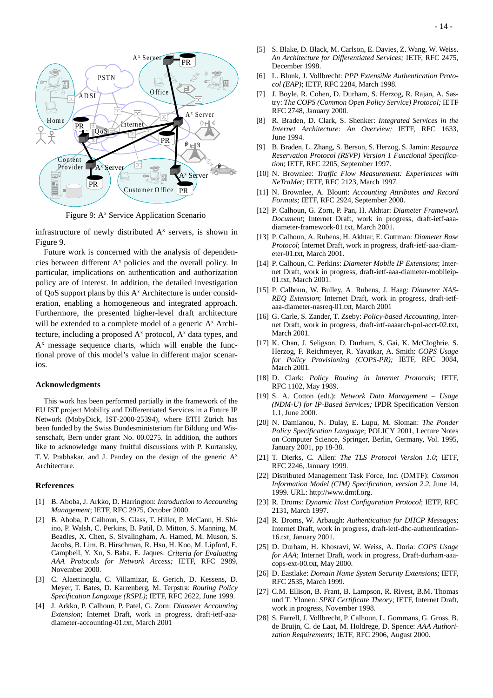

Figure 9: A<sup>x</sup> Service Application Scenario

infrastructure of newly distributed  $A<sup>x</sup>$  servers, is shown in Figure 9.

Future work is concerned with the analysis of dependencies between different A<sup>x</sup> policies and the overall policy. In particular, implications on authentication and authorization policy are of interest. In addition, the detailed investigation of QoS support plans by this A<sup>x</sup> Architecture is under consideration, enabling a homogeneous and integrated approach. Furthermore, the presented higher-level draft architecture will be extended to a complete model of a generic  $A<sup>x</sup>$  Architecture, including a proposed  $A^x$  protocol,  $A^x$  data types, and A<sup>x</sup> message sequence charts, which will enable the functional prove of this model's value in different major scenarios.

#### **Acknowledgments**

This work has been performed partially in the framework of the EU IST project Mobility and Differentiated Services in a Future IP Network (MobyDick, IST-2000-25394), where ETH Zürich has been funded by the Swiss Bundesministerium für Bildung und Wissenschaft, Bern under grant No. 00.0275. In addition, the authors like to acknowledge many fruitful discussions with P. Kurtansky, T. V. Prabhakar, and J. Pandey on the design of the generic  $A^x$ Architecture.

#### **References**

- [1] B. Aboba, J. Arkko, D. Harrington: *Introduction to Accounting Management*; IETF, RFC 2975, October 2000.
- [2] B. Aboba, P. Calhoun, S. Glass, T. Hiller, P. McCann, H. Shiino, P. Walsh, C. Perkins, B. Patil, D. Mitton, S. Manning, M. Beadles, X. Chen, S. Sivalingham, A. Hamed, M. Muson, S. Jacobs, B. Lim, B. Hirschman, R. Hsu, H. Koo, M. Lipford, E. Campbell, Y. Xu, S. Baba, E. Jaques: *Criteria for Evaluating AAA Protocols for Network Access;* IETF, RFC 2989, November 2000.
- [3] C. Alaettinoglu, C. Villamizar, E. Gerich, D. Kessens, D. Meyer, T. Bates, D. Karrenberg, M. Terpstra: *Routing Policy Specification Language (RSPL)*; IETF, RFC 2622, June 1999.
- [4] J. Arkko, P. Calhoun, P. Patel, G. Zorn: *Diameter Accounting Extension*; Internet Draft, work in progress, draft-ietf-aaadiameter-accounting-01.txt, March 2001
- [5] S. Blake, D. Black, M. Carlson, E. Davies, Z. Wang, W. Weiss. *An Architecture for Differentiated Services;* IETF, RFC 2475, December 1998.
- [6] L. Blunk, J. Vollbrecht: *PPP Extensible Authentication Protocol (EAP)*; IETF, RFC 2284, March 1998.
- [7] J. Boyle, R. Cohen, D. Durham, S. Herzog, R. Rajan, A. Sastry: *The COPS (Common Open Policy Service) Protocol;* IETF RFC 2748, January 2000.
- [8] R. Braden, D. Clark, S. Shenker: *Integrated Services in the Internet Architecture: An Overview;* IETF, RFC 1633, June 1994.
- [9] B. Braden, L. Zhang, S. Berson, S. Herzog, S. Jamin: *Resource Reservation Protocol (RSVP) Version 1 Functional Specification*; IETF, RFC 2205, September 1997.
- [10] N. Brownlee: *Traffic Flow Measurement: Experiences with NeTraMet;* IETF, RFC 2123, March 1997.
- [11] N. Brownlee, A. Blount: *Accounting Attributes and Record Formats;* IETF, RFC 2924, September 2000.
- [12] P. Calhoun, G. Zorn, P. Pan, H. Akhtar: *Diameter Framework Document*; Internet Draft, work in progress, draft-ietf-aaadiameter-framework-01.txt, March 2001.
- [13] P. Calhoun, A. Rubens, H. Akhtar, E. Guttman: *Diameter Base Protocol*; Internet Draft, work in progress, draft-ietf-aaa-diameter-01.txt, March 2001.
- [14] P. Calhoun, C. Perkins: *Diameter Mobile IP Extensions*; Internet Draft, work in progress, draft-ietf-aaa-diameter-mobileip-01.txt, March 2001.
- [15] P. Calhoun, W. Bulley, A. Rubens, J. Haag: *Diameter NAS-REQ Extension*; Internet Draft, work in progress, draft-ietfaaa-diameter-nasreq-01.txt, March 2001
- [16] G. Carle, S. Zander, T. Zseby: *Policy-based Accounting*, Internet Draft, work in progress, draft-irtf-aaaarch-pol-acct-02.txt, March 2001.
- [17] K. Chan, J. Seligson, D. Durham, S. Gai, K. McCloghrie, S. Herzog, F. Reichmeyer, R. Yavatkar, A. Smith: *COPS Usage for Policy Provisioning (COPS-PR);* IETF, RFC 3084, March 2001.
- [18] D. Clark: *Policy Routing in Internet Protocols*; IETF, RFC 1102, May 1989.
- [19] S. A. Cotton (edt.): *Network Data Management Usage (NDM-U) for IP-Based Services;* IPDR Specification Version 1.1, June 2000.
- [20] N. Damianou, N. Dulay, E. Lupu, M. Sloman: *The Ponder Policy Specification Language*; POLICY 2001, Lecture Notes on Computer Science, Springer, Berlin, Germany, Vol. 1995, January 2001, pp 18-38.
- [21] T. Dierks, C. Allen: *The TLS Protocol Version 1.0*; IETF, RFC 2246, January 1999.
- [22] Distributed Management Task Force, Inc. (DMTF): *Common Information Model (CIM) Specification, version 2.2*, June 14, 1999. URL: http://www.dmtf.org.
- [23] R. Droms: *Dynamic Host Configuration Protocol*; IETF, RFC 2131, March 1997.
- [24] R. Droms, W. Arbaugh: *Authentication for DHCP Messages*; Internet Draft, work in progress, draft-ietf-dhc-authentication-16.txt, January 2001.
- [25] D. Durham, H. Khosravi, W. Weiss, A. Doria: *COPS Usage for AAA*; Internet Draft, work in progress, Draft-durham-aaacops-ext-00.txt, May 2000.
- [26] D. Eastlake: *Domain Name System Security Extensions*; IETF, RFC 2535, March 1999.
- [27] C.M. Ellison, B. Frant, B. Lampson, R. Rivest, B.M. Thomas und T. Ylonen: *SPKI Certificate Theory*; IETF, Internet Draft, work in progress, November 1998.
- [28] S. Farrell, J. Vollbrecht, P. Calhoun, L. Gommans, G. Gross, B. de Bruijn, C. de Laat, M. Holdrege, D. Spence: *AAA Authorization Requirements;* IETF, RFC 2906, August 2000.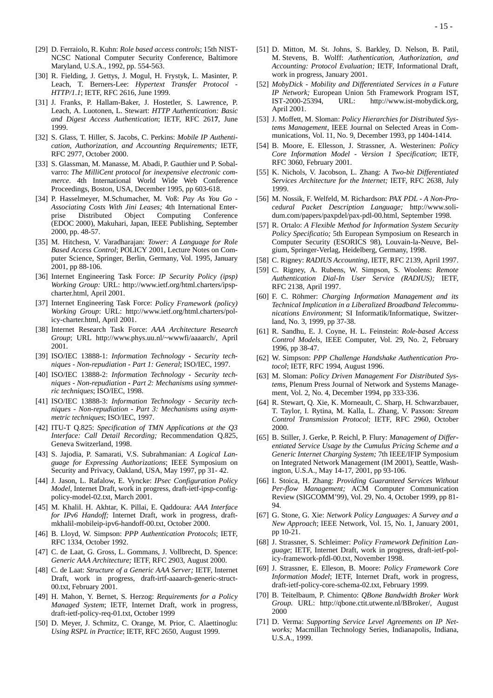- [29] D. Ferraiolo, R. Kuhn: *Role based access controls*; 15th NIST-NCSC National Computer Security Conference, Baltimore Maryland, U.S.A., 1992, pp. 554-563.
- [30] R. Fielding, J. Gettys, J. Mogul, H. Frystyk, L. Masinter, P. Leach, T. Berners-Lee: *Hypertext Transfer Protocol - HTTP/1.1*; IETF, RFC 2616, June 1999.
- [31] J. Franks, P. Hallam-Baker, J. Hostetler, S. Lawrence, P. Leach, A. Luotonen, L. Stewart: *HTTP Authentication: Basic and Digest Access Authentication*; IETF, RFC 261**7**, June 1999.
- [32] S. Glass, T. Hiller, S. Jacobs, C. Perkins: *Mobile IP Authentication, Authorization, and Accounting Requirements;* IETF, RFC 2977, October 2000.
- [33] S. Glassman, M. Manasse, M. Abadi, P. Gauthier und P. Sobalvarro: *The MilliCent protocol for inexpensive electronic commerce*. 4th International World Wide Web Conference Proceedings, Boston, USA, December 1995, pp 603-618.
- [34] P. Hasselmeyer, M.Schumacher, M. Voß: *Pay As You Go - Associating Costs With Jini Leases;* 4th International Enterprise Distributed Object Computing Conference (EDOC 2000), Makuhari, Japan, IEEE Publishing, September 2000, pp. 48-57.
- [35] M. Hitchesn, V. Varadharajan: *Tower: A Language for Role Based Access Control*; POLICY 2001, Lecture Notes on Computer Science, Springer, Berlin, Germany, Vol. 1995, January 2001, pp 88-106.
- [36] Internet Engineering Task Force: *IP Security Policy (ipsp) Working Group:* URL: http://www.ietf.org/html.charters/ipspcharter.html, April 2001.
- [37] Internet Engineering Task Force: *Policy Framework (policy) Working Group*: URL: http://www.ietf.org/html.charters/policy-charter.html, April 2001.
- [38] Internet Research Task Force: *AAA Architecture Research Group*; URL http://www.phys.uu.nl/~wwwfi/aaaarch/, April 2001.
- [39] ISO/IEC 13888-1: *Information Technology Security techniques - Non-repudiation - Part 1: General*; ISO/IEC, 1997.
- [40] ISO/IEC 13888-2: *Information Technology Security techniques - Non-repudiation - Part 2: Mechanisms using symmetric techniques*; ISO/IEC, 1998.
- [41] ISO/IEC 13888-3: *Information Technology Security techniques - Non-repudiation - Part 3: Mechanisms using asymmetric techniques*; ISO/IEC, 1997.
- [42] ITU-T Q.825: *Specification of TMN Applications at the Q3 Interface: Call Detail Recording;* Recommendation Q.825, Geneva Switzerland, 1998.
- [43] S. Jajodia, P. Samarati, V.S. Subrahmanian: *A Logical Language for Expressing Authorizations*; IEEE Symposium on Security and Privacy, Oakland, USA, May 1997, pp 31- 42.
- [44] J. Jason, L. Rafalow, E. Vyncke: *IPsec Configuration Policy Model*, Internet Draft, work in progress, draft-ietf-ipsp-configpolicy-model-02.txt, March 2001.
- [45] M. Khalil. H. Akhtar, K. Pillai, E. Qaddoura: *AAA Interface for IPv6 Handoff;* Internet Draft, work in progress, draftmkhalil-mobileip-ipv6-handoff-00.txt, October 2000.
- [46] B. Lloyd, W. Simpson: *PPP Authentication Protocols*; IETF, RFC 1334, October 1992.
- [47] C. de Laat, G. Gross, L. Gommans, J. Vollbrecht, D. Spence: *Generic AAA Architecture;* IETF, RFC 2903, August 2000.
- [48] C. de Laat: *Structure of a Generic AAA Server;* IETF, Internet Draft, work in progress, draft-irtf-aaaarch-generic-struct-00.txt, February 2001.
- [49] H. Mahon, Y. Bernet, S. Herzog: *Requirements for a Policy Managed System*; IETF, Internet Draft, work in progress, draft-ietf-policy-req-01.txt, October 1999
- [50] D. Meyer, J. Schmitz, C. Orange, M. Prior, C. Alaettinoglu: *Using RSPL in Practice*; IETF, RFC 2650, August 1999.
- [51] D. Mitton, M. St. Johns, S. Barkley, D. Nelson, B. Patil, M. Stevens, B. Wolff: *Authentication, Authorization, and Accounting: Protocol Evaluation;* IETF, Informational Draft, work in progress, January 2001.
- [52] *MobyDick Mobility and Differentiated Services in a Future IP Network;* European Union 5th Framework Program IST, IST-2000-25394, URL: http://www.ist-mobydick.org, April 2001.
- [53] J. Moffett, M. Sloman: *Policy Hierarchies for Distributed Systems Management,* IEEE Journal on Selected Areas in Communications, Vol. 11, No. 9, December 1993, pp 1404-1414.
- [54] B. Moore, E. Ellesson, J. Strassner, A. Westerinen: *Policy Core Information Model - Version 1 Specification*; IETF, RFC 3060, February 2001.
- [55] K. Nichols, V. Jacobson, L. Zhang: A *Two-bit Differentiated Services Architecture for the Internet;* IETF, RFC 2638, July 1999.
- [56] M. Nossik, F. Welfeld, M. Richardson: *PAX PDL A Non-Procedural Packet Description Language;* http://www.solidum.com/papers/paxpdel/pax-pdl-00.html, September 1998.
- [57] R. Ortalo: *A Flexible Method for Information System Security Policy Specificatio;* 5th European Symposium on Research in Computer Security (ESORICS 98), Louvain-la-Neuve, Belgium, Springer-Verlag, Heidelberg, Germany, 1998.
- [58] C. Rigney: *RADIUS Accounting*, IETF, RFC 2139, April 1997.
- [59] C. Rigney, A. Rubens, W. Simpson, S. Woolens: *Remote Authentication Dial-In User Service (RADIUS);* IETF, RFC 2138, April 1997.
- [60] F. C. Röhmer: *Charging Information Management and its Technical Implication in a Liberalized Broadband Telecommunications Environment;* SI Informatik/Informatique, Switzerland, No. 3, 1999, pp 37-38.
- [61] R. Sandhu, E. J. Coyne, H. L. Feinstein: *Role-based Access Control Models*, IEEE Computer, Vol. 29, No. 2, February 1996, pp 38-47.
- [62] W. Simpson: *PPP Challenge Handshake Authentication Protocol*; IETF, RFC 1994, August 1996.
- [63] M. Sloman: *Policy Driven Management For Distributed Systems*, Plenum Press Journal of Network and Systems Management, Vol. 2, No. 4, December 1994, pp 333-336.
- [64] R. Stewart, Q. Xie, K. Morneault, C. Sharp, H. Schwarzbauer, T. Taylor, I. Rytina, M. Kalla, L. Zhang, V. Paxson: *Stream Control Transmission Protocol*; IETF, RFC 2960, October 2000.
- [65] B. Stiller, J. Gerke, P. Reichl, P. Flury: *Management of Differentiated Service Usage by the Cumulus Pricing Scheme and a Generic Internet Charging System;* 7th IEEE/IFIP Symposium on Integrated Network Management (IM 2001), Seattle, Washington, U.S.A., May 14-17, 2001, pp 93-106.
- [66] I. Stoica, H. Zhang: *Providing Guaranteed Services Without Per-flow Management;* ACM Computer Communication Review (SIGCOMM'99), Vol. 29, No. 4, October 1999, pp 81- 94.
- [67] G. Stone, G. Xie: *Network Policy Languages: A Survey and a New Approach*; IEEE Network, Vol. 15, No. 1, January 2001, pp 10-21.
- [68] J. Strassner, S. Schleimer: *Policy Framework Definition Language*; IETF, Internet Draft, work in progress, draft-ietf-policy-framework-pfdl-00.txt, November 1998.
- [69] J. Strassner, E. Elleson, B. Moore: *Policy Framework Core Information Model*; IETF, Internet Draft, work in progress, draft-ietf-policy-core-schema-02.txt, February 1999.
- [70] B. Teitelbaum, P. Chimento: *QBone Bandwidth Broker Work Group.* URL: http://qbone.ctit.utwente.nl/BBroker/, August 2000
- [71] D. Verma: *Supporting Service Level Agreements on IP Networks;* Macmillan Technology Series, Indianapolis, Indiana, U.S.A., 1999.